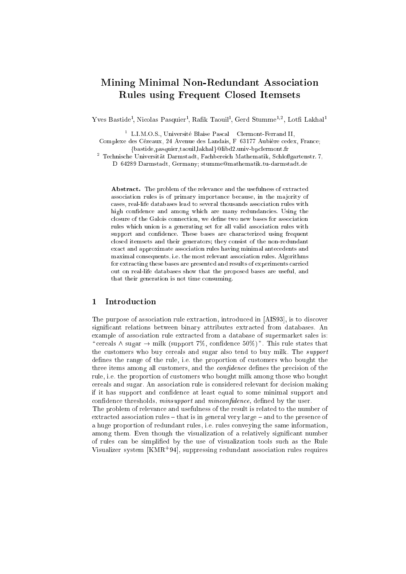# Mining Minimal Non-Redundant Asso
iation Rules using Frequent Closed Itemsets

rves Bastide", INicolas Pasquier", Katik Taouili", Gerd Stumme<sup>37</sup>, Lotti Lakhal"

<sup>-</sup> L.I.M.O.S., Universite Blaise Pascal – Clermont-Ferrand II,

Complexe des Cézeaux, 24 Avenue des Landais, F-63177 Aubière cedex, France; fbastide,pasquier,taouil,lakhalglibd2.univ-bp
lermont.fr

t Technische Universitat Darmstadt, Fachbereich Mathematik, Schlobgartenstr. 7, 5000 (1990). D-64289 Darmstadt, Germany; stumme@mathematik.tu-darmstadt.de

Abstract. The problem of the relevance and the usefulness of extracted association rules is of primary importance because, in the majority of ases, real-life databases lead to several thousands asso
iation rules with high confidence and among which are many redundancies. Using the closure of the Galois connection, we define two new bases for association rules which union is a generating set for all valid association rules with support and confidence. These bases are characterized using frequent closed itemsets and their generators; they consist of the non-redundant exa
t and approximate asso
iation rules having minimal ante
edents and maximal onsequents, i.e. the most relevant asso
iation rules. Algorithms for extracting these bases are presented and results of experiments carried out on real-life databases show that the proposed bases are useful, and that their generation is not time onsuming.

### <sup>1</sup> Introdu
tion

The purpose of association rule extraction, introduced in [AIS93], is to discover significant relations between binary attributes extracted from databases. An example of association rule extracted from a database of supermarket sales is: " cereals  $\wedge$  sugar  $\rightarrow$  milk (support 7%, confidence 50%)". This rule states that the customers who buy cereals and sugar also tend to buy milk. The *support* defines the range of the rule, i.e. the proportion of customers who bought the three items among all customers, and the *confidence* defines the precision of the rule, i.e. the proportion of ustomers who bought milk among those who bought ereals and sugar. An asso
iation rule is onsidered relevant for de
ision making if it has support and onden
e at least equal to some minimal support and confidence thresholds, *minsupport* and *minconfidence*, defined by the user.

The problem of relevan
e and usefulness of the result is related to the number of extracted association rules - that is in general very large - and to the presence of a huge proportion of redundant rules, i.e. rules onveying the same information, among them. Even though the visualization of a relatively significant number of rules an be simplied by the use of visualization tools su
h as the Rule visualizer system [KMR+94], suppressing redundant association rules requires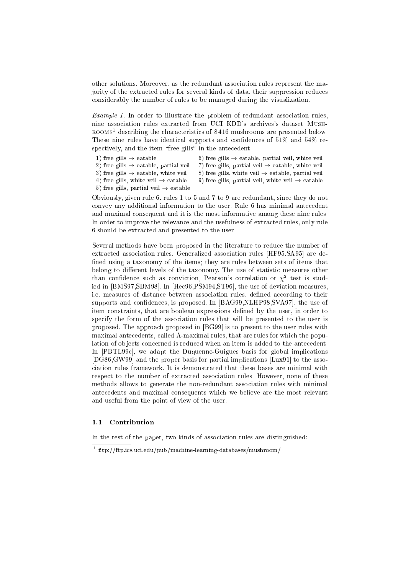other solutions. Moreover, as the redundant asso
iation rules represent the majority of the extra
ted rules for several kinds of data, their suppression redu
es onsiderably the number of rules to be managed during the visualization.

 $Example 1$ . In order to illustrate the problem of redundant association rules, nine asso
iation rules extra
ted from UCI KDD's ar
hives's dataset Mush-ROOMS describing the characteristics of 8410 mushrooms are presented below. These nine rules have identical supports and confidences of  $51\%$  and  $54\%$  respectively, and the item "free gills" in the antecedent:

- 
- 1) free gills  $\rightarrow$  eatable 6) free gills  $\rightarrow$  eatable, partial veil, white veil
- 2) free gills  $\rightarrow$  eatable, partial veil 7) free gills, partial veil  $\rightarrow$  eatable, white veil
	-
- 
- 3) free gills  $\rightarrow$  eatable, white veil 8) free gills, white veil  $\rightarrow$  eatable, partial veil 4) free gills, white veil  $\rightarrow$  eatable 9) free gills, partial veil, white veil  $\rightarrow$  eatable
- 5) free gills, partial veil  $\rightarrow$  eatable

Obviously, given rule 6, rules 1 to 5 and 7 to 9 are redundant, sin
e they do not onvey any additional information to the user. Rule 6 has minimal ante
edent and maximal onsequent and it is the most informative among these nine rules. In order to improve the relevan
e and the usefulness of extra
ted rules, only rule 6 should be extra
ted and presented to the user.

Several methods have been proposed in the literature to reduce the number of extracted association rules. Generalized association rules [HF95, SA95] are defined using a taxonomy of the items; they are rules between sets of items that belong to different levels of the taxonomy. The use of statistic measures other than confidence such as conviction, Pearson's correlation or  $\chi^2$  test is studied in [BMS97,SBM98]. In [Hec96,PSM94,ST96], the use of deviation measures, i.e. measures of distance between association rules, defined according to their supports and confidences, is proposed. In [BAG99,NLHP98,SVA97], the use of item onstraints, that are boolean expressions dened by the user, in order to specify the form of the association rules that will be presented to the user is proposed. The approach proposed in [BG99] is to present to the user rules with maximal antecedents, called A-maximal rules, that are rules for which the population of objects concerned is reduced when an item is added to the antecedent. In [PBTL99c], we adapt the Duquenne-Guigues basis for global implications  $[DG86,\text{GW99}]$  and the proper basis for partial implications  $[Lux91]$  to the assoiation rules framework. It is demonstrated that these bases are minimal with respect to the number of extracted association rules. However, none of these methods allows to generate the non-redundant asso
iation rules with minimal ante
edents and maximal onsequents whi
h we believe are the most relevant and useful from the point of view of the user.

#### 1.1 Contribution

In the rest of the paper, two kinds of asso
iation rules are distinguished:

tp://itp.ics.uci.edu/pub/machine-learning-databases/mushroom/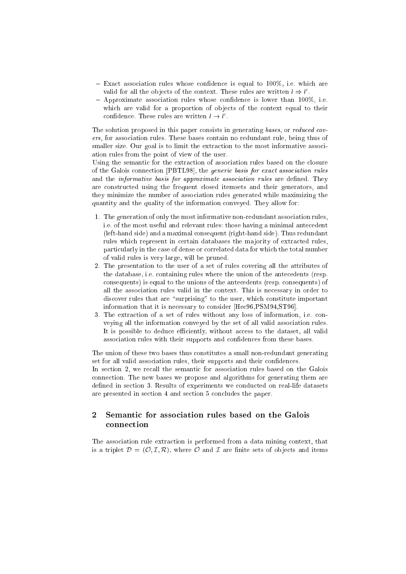- $-$  Exact association rules whose confidence is equal to 100%, i.e. which are valid for all the objects of the context. These rules are written  $\iota \Rightarrow \iota$ .
- $-$  Approximate association rules whose confidence is lower than 100%, i.e. which are valid for a proportion of objects of the context equal to their connuence. These rules are written  $\iota \to \iota$ .

The solution proposed in this paper consists in generating bases, or reduced covers, for asso
iation rules. These bases ontain no redundant rule, being thus of smaller size. Our goal is to limit the extraction to the most informative association rules from the point of view of the user.

Using the semantic for the extraction of association rules based on the closure of the Galois connection [PBTL98], the *generic basis for exact association rules* and the *informative basis for approximate association rules* are defined. They are onstru
ted using the frequent losed itemsets and their generators, and they minimize the number of asso
iation rules generated while maximizing the quantity and the quality of the information onveyed. They allow for:

- 1. The generation of only the most informative non-redundant asso
iation rules, i.e. of the most useful and relevant rules: those having a minimal ante
edent (left-hand side) and a maximal onsequent (right-hand side). Thus redundant rules which represent in certain databases the majority of extracted rules, parti
ularly in the ase of dense or orrelated data for whi
h the total number of valid rules is very large, will be pruned.
- 2. The presentation to the user of a set of rules overing all the attributes of the database, i.e. ontaining rules where the union of the ante
edents (resp. onsequents) is equal to the unions of the ante
edents (resp. onsequents) of all the asso
iation rules valid in the ontext. This is ne
essary in order to discover rules that are "surprising" to the user, which constitute important information that it is necessary to consider [Hec96,PSM94,ST96].
- 3. The extra
tion of a set of rules without any loss of information, i.e. onveying all the information onveyed by the set of all valid asso
iation rules. It is possible to deduce efficiently, without access to the dataset, all valid association rules with their supports and confidences from these bases.

The union of these two bases thus constitutes a small non-redundant generating set for all valid association rules, their supports and their confidences.

In section 2, we recall the semantic for association rules based on the Galois onne
tion. The new bases we propose and algorithms for generating them are defined in section 3. Results of experiments we conducted on real-life datasets are presented in se
tion 4 and se
tion 5 on
ludes the paper.

#### $\overline{2}$ Semantic for association rules based on the Galois connection

The asso
iation rule extra
tion is performed from a data mining ontext, that is a triplet  $\mathcal{D} = (\mathcal{O}, \mathcal{I}, \mathcal{R})$ , where  $\mathcal O$  and  $\mathcal I$  are finite sets of objects and items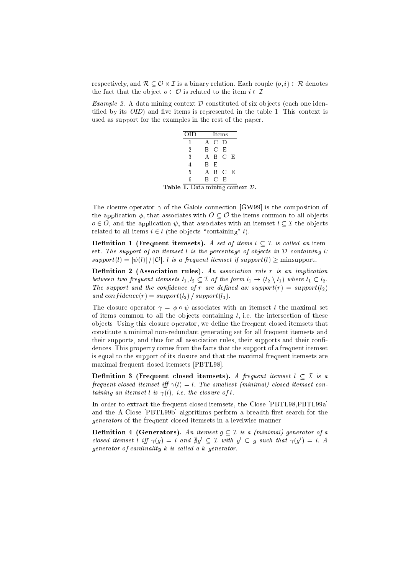respe
tively, and <sup>R</sup> <sup>O</sup> - I is a binary relation. Ea
h ouple (o; i) <sup>2</sup> <sup>R</sup> denotes the fact that the object  $o \in \mathcal{O}$  is related to the item  $i \in \mathcal{I}$ .

Example 2. A data mining context  $\mathcal D$  constituted of six objects (each one identified by its  $OID$ ) and five items is represented in the table 1. This context is used as support for the examples in the rest of the paper.

|                                                     | OID             |     |       | Items   |  |  |
|-----------------------------------------------------|-----------------|-----|-------|---------|--|--|
|                                                     | 1               |     | A C D |         |  |  |
|                                                     | $\overline{2}$  |     | B C E |         |  |  |
|                                                     | 3               |     |       | A B C E |  |  |
|                                                     | $\overline{4}$  | B E |       |         |  |  |
|                                                     | $5\overline{)}$ |     |       | A B C E |  |  |
|                                                     | 6               |     | B C E |         |  |  |
| <b>Table 1.</b> Data mining context $\mathcal{D}$ . |                 |     |       |         |  |  |

The closure operator  $\gamma$  of the Galois connection [GW99] is the composition of the application  $\phi$ , that associates with  $O \subseteq \mathcal{O}$  the items common to all objects o 2 O, and the application is the associated with an itemset like the state of  $\sim$   $-$  the objects related to all items  $i \in l$  (the objects "containing" l).

**Definition 1** (Frequent itemsets). A set of items  $l \subset \mathcal{I}$  is called an itemset. The support of an itemset l is the percentage of objects in  $D$  containing l:  $support(l) = |\psi(l)| / |\mathcal{O}|$ . l is a frequent itemset if support(l) > minsupport.

Definition 2 (Association rules). An association rule  $r$  is an implication between two frequent itemsets  $l_1, l_2 \subseteq \mathcal{I}$  of the form  $l_1 \to (l_2 \setminus l_1)$  where  $l_1 \subset l_2$ . The support and the confidence of r are defined as: support(r) = support(l<sub>2</sub>) and confidence(r) =  $support(l_2) / support(l_1)$ .

The closure operator  $\gamma = \phi \circ \psi$  associates with an itemset l the maximal set of items common to all the objects containing  $l$ , i.e. the intersection of these objects. Using this closure operator, we define the frequent closed itemsets that onstitute a minimal non-redundant generating set for all frequent itemsets and their supports, and thus for all association rules, their supports and their confidences. This property comes from the facts that the support of a frequent itemset is equal to the support of its losure and that the maximal frequent itemsets are maximal frequent closed itemsets [PBTL98].

Definition 3 (Frequent closed itemsets). A frequent itemset  $l \subset \mathcal{I}$  is a frequent closed itemset iff  $\gamma(l) = l$ . The smallest (minimal) closed itemset containing an itemset l is  $\gamma(l)$ , i.e. the closure of l.

In order to extract the frequent closed itemsets, the Close [PBTL98, PBTL99a] and the A-Close [PBTL99b] algorithms perform a breadth-first search for the generators of the frequent closed itemsets in a levelwise manner.

**Definition 4 (Generators).** An itemset  $g \subset \mathcal{I}$  is a (minimal) generator of a closed itemset l iff  $\gamma(q) = \iota$  and  $\exists q \subset L$  with  $q \subset q$  such that  $\gamma(q) = \iota$ . A generator of cardinality  $k$  is called a  $k$ -generator.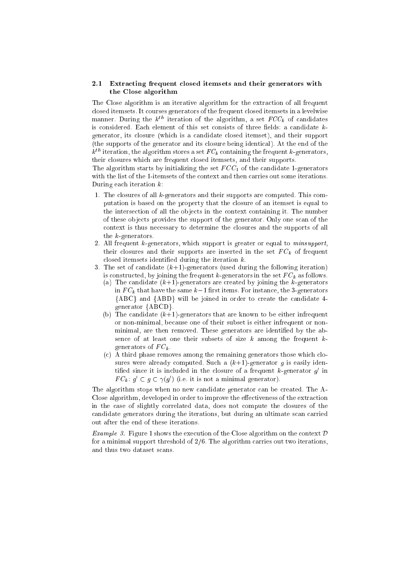### 2.1 Extra
ting frequent losed itemsets and their generators with the Close algorithm

The Close algorithm is an iterative algorithm for the extra
tion of all frequent losed itemsets. It ourses generators of the frequent losed itemsets in a levelwise manner. During the  $\kappa^{...}$  neration of the algorithm, a set  $r\cup C_k$  of candidates is considered. Each element of this set consists of three fields: a candidate  $k$ generator, its losure (whi
h is a andidate losed itemset), and their support (the supports of the generator and its losure being identi
al). At the end of the  $\kappa$  – refracion, the algorithm stores a set  $F$   $C_k$  containing the frequent  $\kappa$ -generators, their losures whi
h are frequent losed itemsets, and their supports.

The algorithm starts by initializing the set  $FCC_1$  of the candidate 1-generators with the list of the 1-itemsets of the ontext and then arries out some iterations. During each iteration  $k$ :

- 1. The closures of all k-generators and their supports are computed. This computation is based on the property that the closure of an itemset is equal to the intersection of all the objects in the context containing it. The number of these objects provides the support of the generator. Only one scan of the ontext is thus ne
essary to determine the losures and the supports of all the k-generators.
- 2. All frequent k-generators, whi
h support is greater or equal to minsupport, their losures and their supports are inserted in the set F Ck of frequent closed itemsets identified during the iteration  $k$ .
- 3. The set of candidate  $(k+1)$ -generators (used during the following iteration) is the frequency in the frequency in the frequency in the set  $F$  Ck as follows. In the set  $F$ 
	- (a) The candidate  $(k+1)$ -generators are created by joining the k-generators in F  $^v$  , that the same known items. For instance  $\sim$  instances  $^v$  . One can same  ${ABC}$  and  ${ABD}$  will be joined in order to create the candidate 4generator {ABCD}.
	- (b) The candidate  $(k+1)$ -generators that are known to be either infrequent or non-minimal, be
	ause one of their subset is either infrequent or nonminimal, are then removed. These generators are identified by the absence of at least one their subsets of size  $k$  among the frequent  $k$ - $\alpha$  . The  $\alpha$  -contractors of  $\alpha$
	- (c) A third phase removes among the remaining generators those which closures were already computed. Such a  $(k+1)$ -generator g is easily identined since it is included in the closure of a frequent  $\kappa$ -generator  $g$  in  $F \cup_k : g \subset g \subset \gamma(g)$  (i.e. it is not a minimal generator).

The algorithm stops when no new candidate generator can be created. The A-Close algorithm, developed in order to improve the effectiveness of the extraction in the ase of slightly orrelated data, does not ompute the losures of the andidate generators during the iterations, but during an ultimate s
an arried out after the end of these iterations.

*Example 3.* Figure 1 shows the execution of the Close algorithm on the context  $\mathcal{D}$ for a minimal support threshold of 2/6. The algorithm arries out two iterations, and thus two dataset s
ans.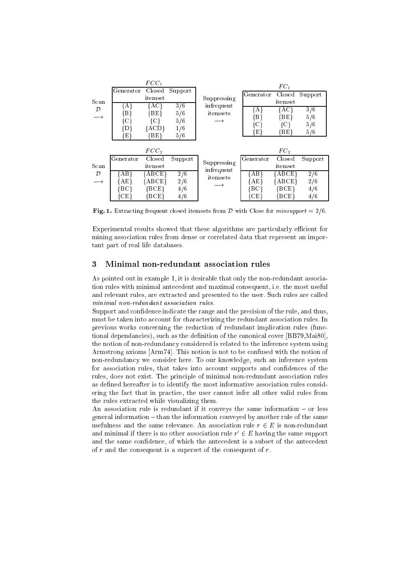|                                                           |               | $FCC_1$              |            |                        |                          | $FC_1$               |                  |
|-----------------------------------------------------------|---------------|----------------------|------------|------------------------|--------------------------|----------------------|------------------|
|                                                           | Generator     | Closed               | Support    |                        | Generator                | Closed               | Support          |
| Scan                                                      |               | <i>it</i> emset      |            | Suppressing            |                          | itemset              |                  |
| $\mathcal{D}% _{M_{1},M_{2}}^{\alpha,\beta}(\varepsilon)$ | {A}<br>{B}    | {AC}<br>{BE}         | 3/6<br>5/6 | infrequent<br>itemsets | {A}                      | $\{AC\}$             | 3/6              |
| $\rightarrow$                                             | {C}           | {C}                  | 5/6        |                        | $\{ {\rm B} \}$          | {BE}                 | 5/6              |
|                                                           | {D}           | {ACD}                | 1/6        |                        | {C}                      | {C}                  | 5/6              |
|                                                           | $\{{\rm E}\}$ | $\{BE\}$             | 5/6        |                        | $\lceil \text{E} \rceil$ | [BE]                 | 5/6              |
|                                                           |               |                      |            |                        |                          |                      |                  |
|                                                           |               | FCC <sub>2</sub>     |            |                        |                          | $FC_2$               |                  |
|                                                           | Generator     | Closed               | Support    | Suppressing            | Generator                | Closed               | Support          |
| Scan                                                      |               | itemset              |            | infrequent             |                          | itemset              |                  |
| $\mathcal{D}$                                             | {AB}          | ${ABCE}$             | 2/6        | itemsets               | {AB}                     | ${ \rm \{ABCE\}}$    | $\overline{2/6}$ |
| $\longrightarrow$                                         | {AE}          | {ABCE}               | 2/6        |                        | $\{AE\}$                 | ${ABCE}$             | 2/6              |
|                                                           | {BC}          | $\{ \mathrm{BCE} \}$ | 4/6        |                        | {BC}                     | ${BCE}$              | 4/6              |
|                                                           | CE.           | BCE                  | 4/6        |                        | {CE}                     | $\{ \mathrm{BCE} \}$ | 4/6              |

Fig. 1. Extracting frequent closed itemsets from  $D$  with Close for minsupport = 2/6.

Experimental results showed that these algorithms are particularly efficient for mining asso
iation rules from dense or orrelated data that represent an important part of real life databases.

### <sup>3</sup> Minimal non-redundant asso
iation rules

As pointed out in example 1, it is desirable that only the non-redundant asso
iation rules with minimal ante
edent and maximal onsequent, i.e. the most useful and relevant rules, are extracted and presented to the user. Such rules are called minimal non-redundant asso
iation rules.

Support and confidence indicate the range and the precision of the rule, and thus, must be taken into account for characterizing the redundant association rules. In previous works concerning the reduction of redundant implication rules (functional dependancies), such as the definition of the canonical cover [BB79, Mai80], the notion of non-redundan
y onsidered is related to the inferen
e system using Armstrong axioms [Arm74]. This notion is not to be confused with the notion of non-redundan
y we onsider here. To our knowledge, su
h an inferen
e system for association rules, that takes into account supports and confidences of the rules, does not exist. The principle of minimal non-redundant association rules as defined hereafter is to identify the most informative association rules considering the fact that in practice, the user cannot infer all other valid rules from the rules extracted while visualizing them.

An association rule is redundant if it conveys the same information  $-$  or less general information – than the information conveyed by another rule of the same usefulness and the same relevance. An association rule  $r \in E$  is non-redundant and minimal if there is no other association rule  $r~\in E$  having the same support and the same confidence, of which the antecedent is a subset of the antecedent of  $r$  and the consequent is a superset of the consequent of  $r$ .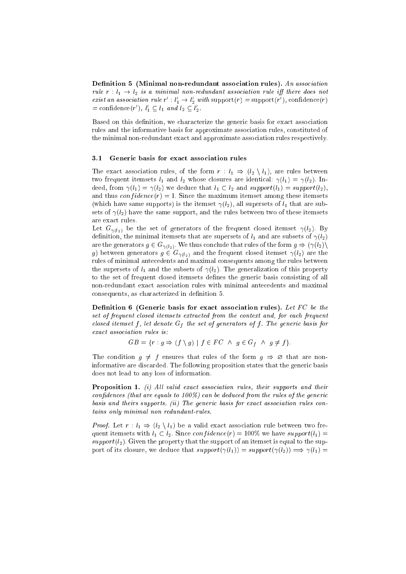Definition 5 (Minimal non-redundant association rules). An association rule  $r: l_1 \rightarrow l_2$  is a minimal non-redundant association rule iff there does not exist an association rule  $r : \iota_1 \to \iota_2$  with support(r) = support(r), connuence(r)  $=$  connuence(r ),  $i_1 \nightharpoonup i_1$  and  $i_2 \nightharpoonup i_2$ .

Based on this definition, we characterize the generic basis for exact association rules and the informative basis for approximate asso
iation rules, onstituted of the minimal non-redundant exact and approximate association rules respectively.

#### 3.1 Generi basis for exa
t asso
iation rules

The exact association rules, of the form  $r: l_1 \Rightarrow (l_2 \setminus l_1)$ , are rules between two frequent itemsets  $l_1$  and  $l_2$  whose closures are identical:  $\gamma(l_1) = \gamma(l_2)$ . Indeed, from  $\gamma(l_1) = \gamma(l_2)$  we deduce that  $l_1 \subset l_2$  and support $(l_1) = support(l_2)$ , and thus  $confidence(r) = 1$ . Since the maximum itemset among these itemsets (which have same supports) is the itemset  $\gamma(l_2)$ , all supersets of  $l_1$  that are subsets of  $\gamma(l_2)$  have the same support, and the rules between two of these itemsets are exa
t rules.

Let  $G_{\gamma(l_2)}$  be the set of generators of the frequent closed itemset  $\gamma(l_2)$ . By definition, the minimal itemsets that are supersets of  $l_1$  and are subsets of  $\gamma(l_2)$ are the generators  $g \in G_{\gamma(l_2)}$ . We thus conclude that rules of the form  $g \Rightarrow (\gamma(l_2))$ g) between generators  $g \in G_{\gamma(l_2)}$  and the frequent closed itemset  $\gamma(l_2)$  are the rules of minimal ante
edents and maximal onsequents among the rules between the supersets of  $l_1$  and the subsets of  $\gamma(l_2)$ . The generalization of this property to the set of frequent closed itemsets defines the generic basis consisting of all non-redundant exa
t asso
iation rules with minimal ante
edents and maximal consequents, as characterized in definition 5.

Definition 6 (Generic basis for exact association rules). Let  $FC$  be the set of frequent closed itemsets extracted from the context and, for each frequent losed itemset <sup>f</sup> , let denote Gf the set of generators of <sup>f</sup> . The generi basis for exact association rules is:

 $\mathbb{S} = \{ \left| \begin{array}{c} \text{if} \quad \text{if} \quad \text{if} \quad \text{if} \quad \text{if} \quad \text{if} \quad \text{if} \quad \text{if} \quad \text{if} \quad \text{if} \quad \text{if} \quad \text{if} \quad \text{if} \quad \text{if} \quad \text{if} \quad \text{if} \quad \text{if} \quad \text{if} \quad \text{if} \quad \text{if} \quad \text{if} \quad \text{if} \quad \text{if} \quad \text{if} \quad \text{if} \quad \text{if} \quad \text{if} \quad \text{if} \quad \text{if}$ 

The condition  $g \neq f$  ensures that rules of the form  $g \Rightarrow \emptyset$  that are noninformative are discarded. The following proposition states that the generic basis does not lead to any loss of information.

**Proposition 1.** (i) All valid exact association rules, their supports and their confidences (that are equals to  $100\%$ ) can be deduced from the rules of the generic  $basis$  and theirs supports. (ii) The generic basis for exact association rules contains only minimal non redundant-rules.

*Proof.* Let  $r: l_1 \Rightarrow (l_2 \setminus l_1)$  be a valid exact association rule between two frequent itemsets with  $l_1 \subset l_2$ . Since  $confidence(r) = 100\%$  we have support $(l_1)$ support( $l_2$ ). Given the property that the support of an itemset is equal to the support of its closure, we deduce that  $support(\gamma(l_1)) = support(\gamma(l_2)) \Longrightarrow \gamma(l_1) =$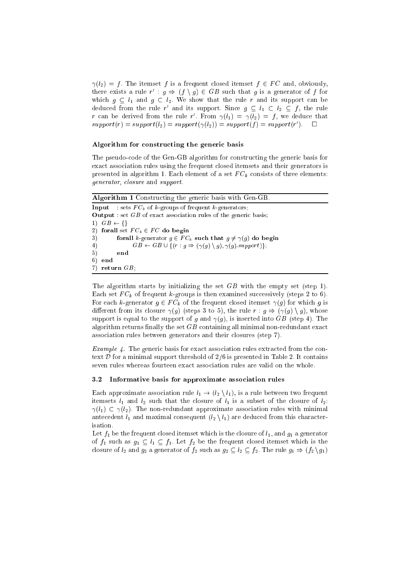$\gamma(l_2) = f$ . The itemset f is a frequent closed itemset  $f \in FC$  and, obviously, there exists a rule  $r : g \Rightarrow (f \setminus g) \in G$  b such that g is a generator of f for which  $g \subseteq l_1$  and  $g \subset l_2$ . We show that the rule r and its support can be deduced from the rule r and its support. Since  $g \subseteq \iota_1 \subset \iota_2 \subseteq f$ , the rule r can be derived from the rule r . From  $\gamma(i_1) = \gamma(i_2) = j$ , we deduce that  $support(T) = support(T_2) = support(T(T_2)) = support(T) = support(T)$ 

#### Algorithm for constructing the generic basis

The pseudoode of the Gen-GB algorithm for onstru
ting the generi basis for exact association rules using the frequent closed itemsets and their generators is presented in algorithm 1. Each element of a set F Ck in algorithm 1. Each element of a set F Ck in a set F Ck generator, losure and support.

Algorithm 1 Constructing the generic basis with Gen-GB Input : sets F Ck of k-groups of frequent k-generators; **Output** : set  $GB$  of exact association rules of the generic basis; 1)  $GB \leftarrow \{\}$  $\mathbb{R}$  for all set  $\mathbb{R}$   $\subset$   $\mathbb{R}$  for  $\mathbb{R}$   $\subset$   $\mathbb{R}$ 3) forall k-generator <sup>g</sup> <sup>2</sup> F Ck su
h that <sup>g</sup> 6= (g) do begin 4)  $GB \leftarrow GB \cup \{(r : g \Rightarrow (\gamma(g) \setminus g), \gamma(g).support\};$  $5)$ end  $\sim$  1  $6)$ 6) end 7) return  $GB$ ;

The algorithm starts by initializing the set GB with the empty set (step 1). essively for F Ck of frequency is the first construction of the surface of  $\theta$  (steps 2 to 6). For ea
h k-generator <sup>g</sup> <sup>2</sup> F Ck of the frequent losed itemset (g) for whi
h <sup>g</sup> is different from its closure  $\gamma(g)$  (steps 3 to 5), the rule  $r : g \Rightarrow (\gamma(g) \setminus g)$ , whose support is equal to the support of g and  $\gamma(g)$ , is inserted into GB (step 4). The algorithm returns finally the set  $GB$  containing all minimal non-redundant exact asso
iation rules between generators and their losures (step 7).

Example 4. The generic basis for exact association rules extracted from the context  $D$  for a minimal support threshold of  $2/6$  is presented in Table 2. It contains seven rules whereas fourteen exa
t asso
iation rules are valid on the whole.

### 3.2 Informative basis for approximate asso
iation rules

Each approximate association rule  $l_1 \rightarrow (l_2 \setminus l_1)$ , is a rule between two frequent itemsets  $l_1$  and  $l_2$  such that the closure of  $l_1$  is a subset of the closure of  $l_2$ :  $\gamma(l_1) \subset \gamma(l_2)$ . The non-redundant approximate association rules with minimal antecedent  $l_1$  and maximal consequent  $(l_2 \setminus l_1)$  are deduced from this characterisation.

Let  $f_1$  be the frequent closed itemset which is the closure of  $l_1$ , and  $g_1$  a generator of  $f_1$  such as  $g_1 \subseteq l_1 \subseteq f_1$ . Let  $f_2$  be the frequent closed itemset which is the closure of  $l_2$  and  $g_2$  a generator of  $f_2$  such as  $g_2 \subseteq l_2 \subseteq f_2$ . The rule  $g_1 \Rightarrow (f_2 \setminus g_1)$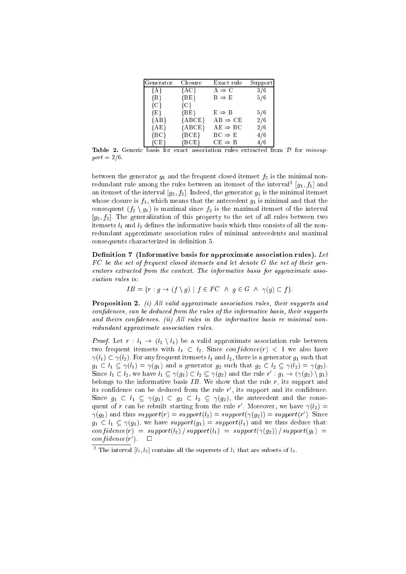| Generator | Closure  | Exact rule          | Support |
|-----------|----------|---------------------|---------|
| ${A}$     | ${AC}$   | $A \Rightarrow C$   | 3/6     |
| ${B}$     | ${BE}$   | $B \Rightarrow E$   | 5/6     |
| ${C}$     | $\{C\}$  |                     |         |
| $\{E\}$   | ${BE}$   | $E \Rightarrow B$   | 5/6     |
| ${AB}$    | ${ABCE}$ | $AB \Rightarrow CE$ | 2/6     |
| ${AE}$    | ${ABCE}$ | $AE \Rightarrow BC$ | 2/6     |
| ${BC}$    | ${BCE}$  | $BC \Rightarrow E$  | 4/6     |
| ${C}E$ }  | ${BCE}$  | $CE \Rightarrow B$  | 4/6     |

Table 2. Generic basis for exact association rules extracted from  $\mathcal D$  for *minsup* $port = 2/6.$ 

between the generator  $g_1$  and the frequent closed itemset  $f_2$  is the minimal nonredundant rule among the rules between an itemset of the interval  $[g_1, f_1]$  and an itemset of the interval  $[g_2, f_2]$ . Indeed, the generator  $g_1$  is the minimal itemset whose closure is  $f_1$ , which means that the antecedent  $g_1$  is minimal and that the consequent  $(f_2 \setminus g_1)$  is maximal since  $f_2$  is the maximal itemset of the interval  $[g_2, f_2]$ . The generalization of this property to the set of all rules between two itemsets  $l_1$  and  $l_2$  defines the informative basis which thus consists of all the nonredundant approximate asso
iation rules of minimal ante
edents and maximal consequents characterized in definition 5.

Definition 7 (Informative basis for approximate association rules). Let F C be the set of frequent losed itemsets and let denote <sup>G</sup> the set of their generators extracted from the context. The informative basis for approximate assoiation rules is:

$$
IB = \{ r : g \to (f \setminus g) \mid f \in FC \land g \in G \land \gamma(g) \subset f \}.
$$

**Proposition 2.** (i) All valid approximate association rules, their supports and confidences, can be deduced from the rules of the informative basis, their supports and theirs confidences. (ii) All rules in the informative basis re minimal nonredundant approximate association rules.

*Proof.* Let  $r: l_1 \rightarrow (l_2 \setminus l_1)$  be a valid approximate association rule between two frequent itemsets with  $l_1 \subset l_2$ . Since  $confidence(r) < 1$  we also have  $\gamma(l_1) \subset \gamma(l_2)$ . For any frequent itemsets  $l_1$  and  $l_2$ , there is a generator  $g_1$  such that  $g_1 \subset l_1 \subseteq \gamma(l_1) = \gamma(g_1)$  and a generator  $g_2$  such that  $g_2 \subset l_2 \subseteq \gamma(l_2) = \gamma(g_2)$ . Since  $i_1 \nightharpoonup i_2$ , we have  $i_1 \nightharpoonup \gamma(g_1) \nightharpoonup i_2 \nightharpoonup \gamma(g_2)$  and the rule  $r : g_1 \rightarrow \gamma(\gamma(g_2) \setminus g_1)$ belongs to the informative basis  $IB$ . We show that the rule  $r$ , its support and its connuence can be deduced from the rule  $r$  , its support and its connuence. Since  $g_1 \subset l_1 \subseteq \gamma(g_1) \subset g_2 \subset l_2 \subseteq \gamma(g_2)$ , the antecedent and the consequeint of r can be rebuilt starting from the rule r . Moreover, we have  $\gamma(\iota_2) =$  $\gamma(g_2)$  and thus  $support(r) = support(l_2) = support(\gamma(g_2)) = support(r)$ . Since  $g_1 \n\t\subset l_1 \n\t\subset \gamma(g_1)$ , we have support $(g_1) = support(l_1)$  and we thus deduce that:  $confidence(r) = support(l_2) / support(l_1) = support(\gamma(g_2)) / support(g_1) =$  $conruence(r)$ .  $\Box$ 

The interval  $[t_1, t_2]$  contains all the supersets of  $t_1$  that are subsets of  $t_2$ .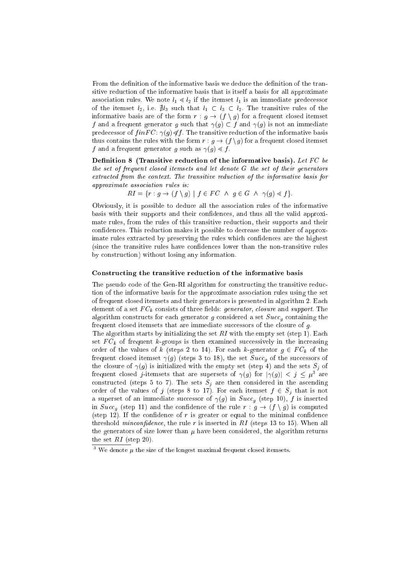From the definition of the informative basis we deduce the definition of the transitive redu
tion of the informative basis that is itself a basis for all approximate association rules. We note  $l_1 \leq l_2$  if the itemset  $l_1$  is an immediate predecessor of the itemset  $l_2$ , i.e.  $\sharp l_3$  such that  $l_1 \subset l_3 \subset l_2$ . The transitive rules of the informative basis are of the form  $r : g \to (f \setminus g)$  for a frequent closed itemset  $f$  and a frequence ground g such that  $f(q)$  is not and  $f(q)$  is not an immediate predecessor of  $finFC: \gamma(g) \leq f$ . The transitive reduction of the informative basis thus contains the rules with the form  $r : g \to (f \setminus g)$  for a frequent closed itemset  $f$  and a frequence  $f$  and  $f$  as  $f$  as  $f$  and  $f$  . If  $f$ 

Definition 8 (Transitive reduction of the informative basis). Let  $FC$  be the set of frequent closed itemsets and let denote G the set of their generators extracted from the context. The transitive reduction of the informative basis for approximate asso
iation rules is:

$$
RI = \{r : g \to (f \setminus g) \mid f \in FC \land g \in G \land \gamma(g) \le f\}.
$$

Obviously, it is possible to dedu
e all the asso
iation rules of the informative basis with their supports and their confidences, and thus all the valid approximate rules, from the rules of this transitive reduction, their supports and their confidences. This reduction makes it possible to decrease the number of approximate rules extracted by preserving the rules which confidences are the highest (sin
e the transitive rules have onden
es lower than the non-transitive rules by onstru
tion) without losing any information.

#### Constru
ting the transitive redu
tion of the informative basis

The pseudo code of the Gen-RI algorithm for constructing the transitive reduction of the informative basis for the approximate asso
iation rules using the set of frequent losed itemsets and their generators is presented in algorithm 2. Ea
h element of a set F Ck onsists of three elds: generator, losure and support. The onstruction a set of the contract  $\alpha$  set of the set  $\alpha$  and the contract  $\alpha$ frequent closed itemsets that are immediate successors of the closure of  $g$ .

The algorithm starts by initializing the set  $RI$  with the empty set (step 1). Each set F Ck of frequent k-groups is then examined su

essively in the in
reasing order of the values of  $\alpha$  (steps  $\pm$  to  $\pm$   $\pm$ ). For each  $\alpha$   $\alpha$  contracts  $g$   $\pm$   $\pm$   $\alpha$   $\alpha$  then frequent losed itemset (g) (steps 3 to 18), the set Su

g of the su

essors of the losure of (g) is initialized with the empty set (step 4) and the sets Sj of requent closed *j*-itemsets that are supersets of  $\gamma(g)$  for  $|\gamma(g)| \leq \gamma \leq \mu$  are onstru
ted (steps 5 to 7). The sets Sj are then onsidered in the as
ending order of the values of j (steps 8 to 17). For each itemset j & 8 j that is not a superset of an immediate such a success of  $\{g\}$  in Success  $\{g\}$  is in Success of the success of  $\{g\}$ in Subset (step 11) with the rule relation of the rule  $\alpha$  .  $\beta$  ,  $\beta$  ,  $\beta$  ,  $\beta$  , and the rule  $\alpha$ (step 12). If the confidence of r is greater or equal to the minimal confidence threshold *minconfidence*, the rule r is inserted in  $RI$  (steps 13 to 15). When all the generators of size lower than  $\mu$  have been considered, the algorithm returns the set  $RI$  (step 20).

 $\,$  we denote  $\mu$  the size of the longest maximal frequent closed itemsets.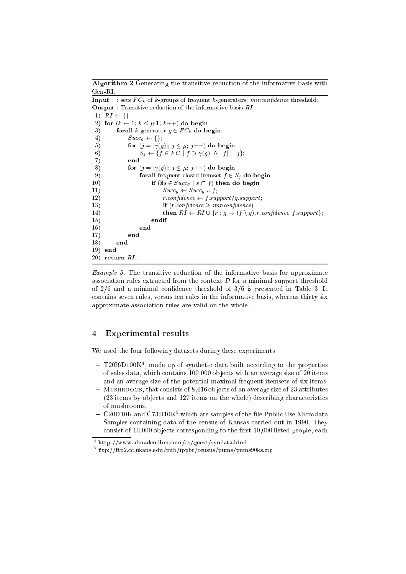**Algorithm 2** Generating the transitive reduction of the informative basis with Gen-RI. Input : sets F Ck of k-groups of frequent k-generators; min
onden
e threshold; **Output** : Transitive reduction of the informative basis  $RI$ ;

1)  $RI \leftarrow \{\}$ 2) for  $(k \leftarrow 1; k \leq \mu-1; k++)$  do begin 3) forall k-generator <sup>g</sup> <sup>2</sup> F Ck do begin 4)  $Succ_q \leftarrow \{\};$ 5) for (j = j
(g)j; <sup>j</sup> ; j++) do begin 6) Sj ff <sup>2</sup> F C <sup>j</sup> <sup>f</sup> (g) ^ jf <sup>j</sup> = jg; 7) end 8) for  $(j = |\gamma(g)|; j \leq \mu; j++)$  do begin 9) forall frequent losed itemset <sup>f</sup> <sup>2</sup> Sj do begin  $\blacksquare$  if  $\blacksquare$  is  $\blacksquare$  then do begin then do begin then do begin the set of  $\blacksquare$ the subset of the subset of the subset of the subset of the subset of the subset of the subset of the subset of 12)  $r.\text{confidence} \leftarrow f.\text{support/g.support};$ 13) if  $(r.\text{confidence} \geq \text{minconfidence})$ 14) then  $RI \leftarrow RI \cup \{r : g \rightarrow (f \setminus g), r.\text{confidence}, f.\text{support}\};$ 15) endif 16) end 17) end 18) end  $19)$ end 20) return  $RI$ ;

Example 5. The transitive reduction of the informative basis for approximate association rules extracted from the context  $\mathcal D$  for a minimal support threshold of  $2/6$  and a minimal confidence threshold of  $3/6$  is presented in Table 3. It ontains seven rules, versus ten rules in the informative basis, whereas thirty six approximate asso
iation rules are valid on the whole.

## <sup>4</sup> Experimental results

We used the four following datasets during these experiments:

- $-$  12016D100K , made up of synthetic data built according to the properties of sales data, whi
h ontains 100,000 ob je
ts with an average size of 20 items and an average size of the potential maximal frequent itemsets of six items.
- MUSHROOMS, that consists of 8,416 objects of an average size of 23 attributes (23 items by objects and 127 items on the whole) describing characteristics of mushrooms.
- $-$  CzuDTUK and C73DTUK which are samples of the life Public Use Microdata Samples ontaining data of the ensus of Kansas arried out in 1990. They consist of 10,000 objects corresponding to the first 10,000 listed people, each

<sup>4</sup> http://www.almaden.ibm.
om/
s/quest/syndata.html

 $\sim$  1tp:// $\textrm{trp2}.\textrm{cc}$ .ukans.edu/pub/ippbr/census/pums/pums90ks.zip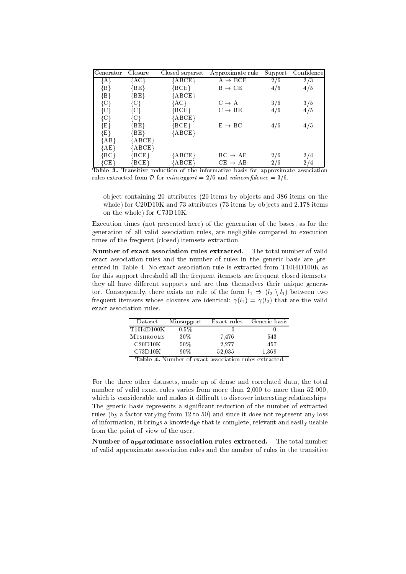| Generator     | Closure          | Closed superset                         | Approximate rule    | Support | Confidence |
|---------------|------------------|-----------------------------------------|---------------------|---------|------------|
| {A}           | ${AC}$           | ${ \rm \{ABCE\}}$                       | $A \rightarrow BCE$ | 2/6     | 2/3        |
| ${B}$         | $\{BE\}$         | $\{ \mathrm{BCE} \}$                    | $B \rightarrow CE$  | 4/6     | 4/5        |
| ${B}$         | {BE}             | ${ABCE}$                                |                     |         |            |
| $\{C\}$       | {C}              | {AC}                                    | $C \rightarrow A$   | 3/6     | 3/5        |
| ${C}$         | {C}              | ${BCE}$                                 | $C \rightarrow BE$  | 4/6     | 4/5        |
| $\{C\}$       | {C}              | ${ABCE}$                                |                     |         |            |
| ${E}$         | $\{BE\}$         | ${BCE}$                                 | $E \rightarrow BC$  | 4/6     | 4/5        |
| $\{E\}$       | ${ \rm BE} \}$   | ${ABCE}$                                |                     |         |            |
| ${AB}$        | $\{ABCE\}$       |                                         |                     |         |            |
| ${AE}$        | ${ {\rm A}BCE }$ |                                         |                     |         |            |
| ${^{\{BC\}}}$ | ${ \rm BCE} \}$  | ${ \rm \{ABCE\}}$                       | $BC \rightarrow AE$ | 2/6     | 2/4        |
| ${CE}$        | BCE              | $\{ {\rm A} {\rm B} {\rm C} {\rm E} \}$ | $CE \rightarrow AB$ | 2/6     | 2/4        |

Table 3. Transitive reduction of the informative basis for approximate association rules extracted from D for minsupport =  $2/6$  and minconfidence =  $3/6$ .

object containing 20 attributes (20 items by objects and 386 items on the whole) for C20D10K and 73 attributes (73 items by objects and 2,178 items on the whole) for C73D10K.

Exe
ution times (not presented here) of the generation of the bases, as for the generation of all valid asso
iation rules, are negligible ompared to exe
ution times of the frequent (closed) itemsets extraction.

Number of exact association rules extracted. The total number of valid exa
t asso
iation rules and the number of rules in the generi basis are presented in Table 4. No exact association rule is extracted from T10I4D100K as for this support threshold all the frequent itemsets are frequent closed itemsets: they all have different supports and are thus themselves their unique generator. Consequently, there exists no rule of the form  $l_1 \Rightarrow (l_2 \setminus l_1)$  between two frequent itemsets whose closures are identical:  $\gamma(l_1) = \gamma(l_2)$  that are the valid exa
t asso
iation rules.

| Dataset    | Minsupport | Exact rules | Generic basis |
|------------|------------|-------------|---------------|
| T10I4D100K | $0.5\%$    |             |               |
| MUSHROOMS  | 30\%       | 7.476       | 543           |
| C20D10K    | 50%        | 2.277       | 457           |
| C73D10K    | 90%        | 52.035      | 1.369         |
| ът<br>— 11 |            |             |               |

Table 4. Number of exact association rules extracted.

For the three other datasets, made up of dense and orrelated data, the total number of valid exact rules varies from more than 2,000 to more than 52,000, which is considerable and makes it difficult to discover interesting relationships. The generic basis represents a significant reduction of the number of extracted rules (by a fa
tor varying from 12 to 50) and sin
e it does not represent any loss of information, it brings a knowledge that is omplete, relevant and easily usable from the point of view of the user.

Number of approximate association rules extracted. The total number of valid approximate asso
iation rules and the number of rules in the transitive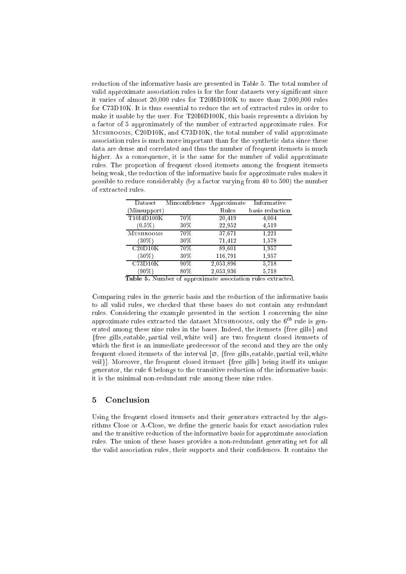redu
tion of the informative basis are presented in Table 5. The total number of valid approximate association rules is for the four datasets very significant since it varies of almost 20,000 rules for T20I6D100K to more than 2,000,000 rules for C73D10K. It is thus essential to reduce the set of extracted rules in order to make it usable by the user. For T20I6D100K, this basis represents a division by a factor of 5 approximately of the number of extracted approximate rules. For Mushrooms, C20D10K, and C73D10K, the total number of valid approximate asso
iation rules is mu
h more important than for the syntheti data sin
e these data are dense and orrelated and thus the number of frequent itemsets is mu
h higher. As a onsequen
e, it is the same for the number of valid approximate rules. The proportion of frequent closed itemsets among the frequent itemsets being weak, the redu
tion of the informative basis for approximate rules makes it possible to redu
e onsiderably (by a fa
tor varying from 40 to 500) the number of extra
ted rules.

| $\mathrm{D}$ ataset         | Minconfidence | Approximate | Informative     |
|-----------------------------|---------------|-------------|-----------------|
| (Minsupport)                |               | Rules       | basis reduction |
| T10I4D100K                  | 70%           | 20,419      | 4,004           |
| $(0.5\%)$                   | $30\%$        | 22,952      | 4,519           |
| <b>MUSHROOMS</b>            | 70%           | 37,671      | 1,221           |
| $(30\%)$                    | $30\%$        | 71,412      | 1,578           |
| C20D10K                     | 70%           | 89.601      | 1,957           |
| $(50\%)$                    | $30\%$        | 116,791     | 1,957           |
| C73D10K                     | $90\%$        | 2,053,896   | 5,718           |
| $(90\%)$                    | 80%           | 2,053,936   | 5,718           |
| . .<br>$\sim$ $+$<br>$\sim$ | $\mathbf{r}$  |             | п.              |

Table 5. Number of approximate association rules extracted.

Comparing rules in the generi basis and the redu
tion of the informative basis to all valid rules, we checked that these bases do not contain any redundant rules. Considering the example presented in the section 1 concerning the nine approximate rules extracted the dataset MUSHROOMS, only the  $6<sup>th</sup>$  rule is generated among these nine rules in the bases. Indeed, the itemsets  ${free$  gills} and {free gills, eatable, partial veil, white veil} are two frequent closed itemsets of which the first is an immediate predecessor of the second and they are the only frequent closed itemsets of the interval  $[\emptyset, \{\text{free gills}, \text{eatable}, \text{partial} \text{ vel}, \text{white}\}]$ veil}]. Moreover, the frequent closed itemset {free gills} being itself its unique generator, the rule 6 belongs to the transitive reduction of the informative basis: it is the minimal non-redundant rule among these nine rules.

#### 5 **Conclusion**

Using the frequent closed itemsets and their generators extracted by the algorithms Close or A-Close, we define the generic basis for exact association rules and the transitive reduction of the informative basis for approximate association rules. The union of these bases provides a non-redundant generating set for all the valid association rules, their supports and their confidences. It contains the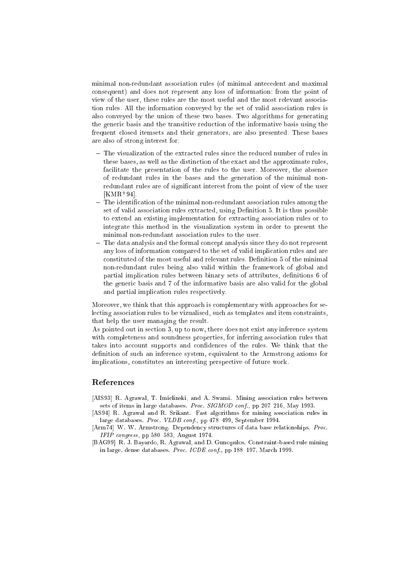minimal non-redundant asso
iation rules (of minimal ante
edent and maximal onsequent) and does not represent any loss of information: from the point of view of the user, these rules are the most useful and the most relevant asso
iation rules. All the information onveyed by the set of valid asso
iation rules is also onveyed by the union of these two bases. Two algorithms for generating the generi basis and the transitive redu
tion of the informative basis using the frequent losed itemsets and their generators, are also presented. These bases are also of strong interest for:

- The visualization of the extracted rules since the reduced number of rules in these bases, as well as the distin
tion of the exa
t and the approximate rules, facilitate the presentation of the rules to the user. Moreover, the absence of redundant rules in the bases and the generation of the minimal nonredundant rules are of significant interest from the point of view of the user  $|\text{NMR-94}|$ .
- $-$  The identification of the minimal non-redundant association rules among the set of valid association rules extracted, using Definition 5. It is thus possible to extend an existing implementation for extracting association rules or to integrate this method in the visualization system in order to present the minimal non-redundant asso
iation rules to the user.
- The data analysis and the formal concept analysis since they do not represent any loss of information ompared to the set of valid impli
ation rules and are constituted of the most useful and relevant rules. Definition 5 of the minimal non-redundant rules being also valid within the framework of global and partial implication rules between binary sets of attributes, definitions 6 of the generi basis and 7 of the informative basis are also valid for the global and partial implication rules respectively.

Moreover, we think that this approach is complementary with approaches for sele
ting asso
iation rules to be vizualised, su
h as templates and item onstraints, that help the user managing the result.

As pointed out in section 3, up to now, there does not exist any inference system with completeness and soundness properties, for inferring association rules that takes into account supports and confidences of the rules. We think that the definition of such an inference system, equivalent to the Armstrong axioms for implications, constitutes an interesting perspective of future work.

### Referen
es

- [AIS93] R. Agrawal, T. Imielinski, and A. Swami. Mining association rules between sets of items in large databases. *Proc. SIGMOD conf.*, pp 207-216, May 1993.
- [AS94] R. Agrawal and R. Srikant. Fast algorithms for mining association rules in large databases. Proc. VLDB conf., pp 478-499, September 1994.
- [Arm74] W. W. Armstrong. Dependency structures of data base relationships. Proc. IFIP congress, pp  $580-583$ , August 1974.
- [BAG99] R. J. Bayardo, R. Agrawal, and D. Gunopulos. Constraint-based rule mining in large, dense databases. Proc. ICDE conf., pp 188-197, March 1999.